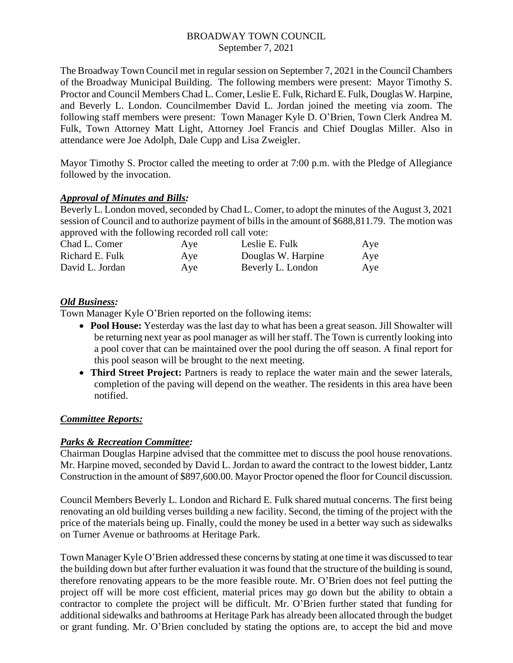## BROADWAY TOWN COUNCIL September 7, 2021

The Broadway Town Council met in regular session on September 7, 2021 in the Council Chambers of the Broadway Municipal Building. The following members were present: Mayor Timothy S. Proctor and Council Members Chad L. Comer, Leslie E. Fulk, Richard E. Fulk, Douglas W. Harpine, and Beverly L. London. Councilmember David L. Jordan joined the meeting via zoom. The following staff members were present: Town Manager Kyle D. O'Brien, Town Clerk Andrea M. Fulk, Town Attorney Matt Light, Attorney Joel Francis and Chief Douglas Miller. Also in attendance were Joe Adolph, Dale Cupp and Lisa Zweigler.

Mayor Timothy S. Proctor called the meeting to order at 7:00 p.m. with the Pledge of Allegiance followed by the invocation.

## *Approval of Minutes and Bills:*

Beverly L. London moved, seconded by Chad L. Comer, to adopt the minutes of the August 3, 2021 session of Council and to authorize payment of bills in the amount of \$688,811.79. The motion was approved with the following recorded roll call vote:

| Chad L. Comer   | Aye | Leslie E. Fulk     | Aye |
|-----------------|-----|--------------------|-----|
| Richard E. Fulk | Aye | Douglas W. Harpine | Aye |
| David L. Jordan | Aye | Beverly L. London  | Aye |

# *Old Business:*

Town Manager Kyle O'Brien reported on the following items:

- **Pool House:** Yesterday was the last day to what has been a great season. Jill Showalter will be returning next year as pool manager as will her staff. The Town is currently looking into a pool cover that can be maintained over the pool during the off season. A final report for this pool season will be brought to the next meeting.
- **Third Street Project:** Partners is ready to replace the water main and the sewer laterals, completion of the paving will depend on the weather. The residents in this area have been notified.

# *Committee Reports:*

# *Parks & Recreation Committee:*

Chairman Douglas Harpine advised that the committee met to discuss the pool house renovations. Mr. Harpine moved, seconded by David L. Jordan to award the contract to the lowest bidder, Lantz Construction in the amount of \$897,600.00. Mayor Proctor opened the floor for Council discussion.

Council Members Beverly L. London and Richard E. Fulk shared mutual concerns. The first being renovating an old building verses building a new facility. Second, the timing of the project with the price of the materials being up. Finally, could the money be used in a better way such as sidewalks on Turner Avenue or bathrooms at Heritage Park.

Town Manager Kyle O'Brien addressed these concerns by stating at one time it was discussed to tear the building down but after further evaluation it was found that the structure of the building is sound, therefore renovating appears to be the more feasible route. Mr. O'Brien does not feel putting the project off will be more cost efficient, material prices may go down but the ability to obtain a contractor to complete the project will be difficult. Mr. O'Brien further stated that funding for additional sidewalks and bathrooms at Heritage Park has already been allocated through the budget or grant funding. Mr. O'Brien concluded by stating the options are, to accept the bid and move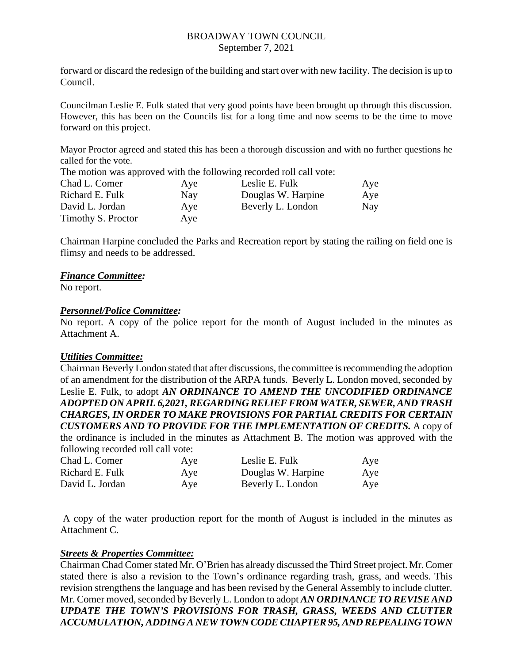#### BROADWAY TOWN COUNCIL September 7, 2021

forward or discard the redesign of the building and start over with new facility. The decision is up to Council.

Councilman Leslie E. Fulk stated that very good points have been brought up through this discussion. However, this has been on the Councils list for a long time and now seems to be the time to move forward on this project.

Mayor Proctor agreed and stated this has been a thorough discussion and with no further questions he called for the vote.

The motion was approved with the following recorded roll call vote:

| Chad L. Comer      | Aye        | Leslie E. Fulk     | Aye |
|--------------------|------------|--------------------|-----|
| Richard E. Fulk    | <b>Nay</b> | Douglas W. Harpine | Aye |
| David L. Jordan    | Ave        | Beverly L. London  | Nay |
| Timothy S. Proctor | Ave        |                    |     |

Chairman Harpine concluded the Parks and Recreation report by stating the railing on field one is flimsy and needs to be addressed.

## *Finance Committee:*

No report.

## *Personnel/Police Committee:*

No report. A copy of the police report for the month of August included in the minutes as Attachment A.

#### *Utilities Committee:*

Chairman Beverly London stated that after discussions, the committee is recommending the adoption of an amendment for the distribution of the ARPA funds. Beverly L. London moved, seconded by Leslie E. Fulk, to adopt *AN ORDINANCE TO AMEND THE UNCODIFIED ORDINANCE ADOPTED ON APRIL 6,2021, REGARDING RELIEF FROM WATER, SEWER, AND TRASH CHARGES, IN ORDER TO MAKE PROVISIONS FOR PARTIAL CREDITS FOR CERTAIN CUSTOMERS AND TO PROVIDE FOR THE IMPLEMENTATION OF CREDITS.* A copy of the ordinance is included in the minutes as Attachment B. The motion was approved with the following recorded roll call vote:

| Chad L. Comer   | Aye | Leslie E. Fulk     | Aye |
|-----------------|-----|--------------------|-----|
| Richard E. Fulk | Aye | Douglas W. Harpine | Aye |
| David L. Jordan | Aye | Beverly L. London  | Aye |

A copy of the water production report for the month of August is included in the minutes as Attachment C.

#### *Streets & Properties Committee:*

Chairman Chad Comer stated Mr. O'Brien has already discussed the Third Street project. Mr. Comer stated there is also a revision to the Town's ordinance regarding trash, grass, and weeds. This revision strengthens the language and has been revised by the General Assembly to include clutter. Mr. Comer moved, seconded by Beverly L. London to adopt *AN ORDINANCE TO REVISE AND UPDATE THE TOWN'S PROVISIONS FOR TRASH, GRASS, WEEDS AND CLUTTER ACCUMULATION, ADDING A NEW TOWN CODE CHAPTER 95, AND REPEALING TOWN*